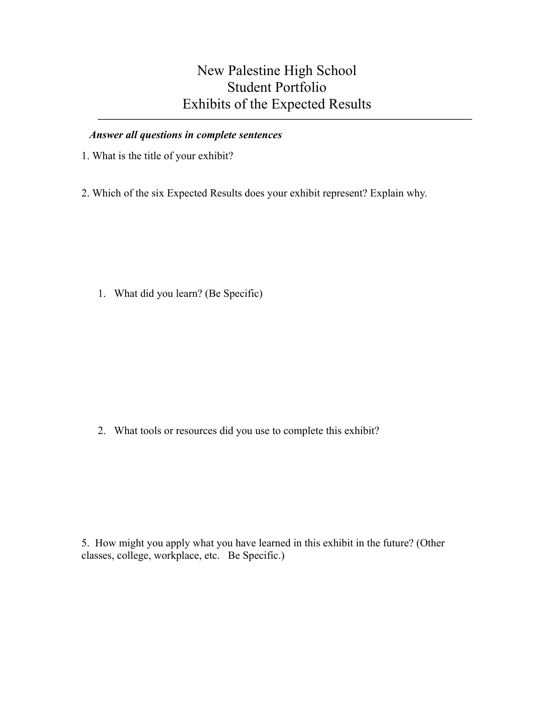## New Palestine High School Student Portfolio Exhibits of the Expected Results

## *Answer all questions in complete sentences*

- 1. What is the title of your exhibit?
- 2. Which of the six Expected Results does your exhibit represent? Explain why.

1. What did you learn? (Be Specific)

2. What tools or resources did you use to complete this exhibit?

5. How might you apply what you have learned in this exhibit in the future? (Other classes, college, workplace, etc. Be Specific.)